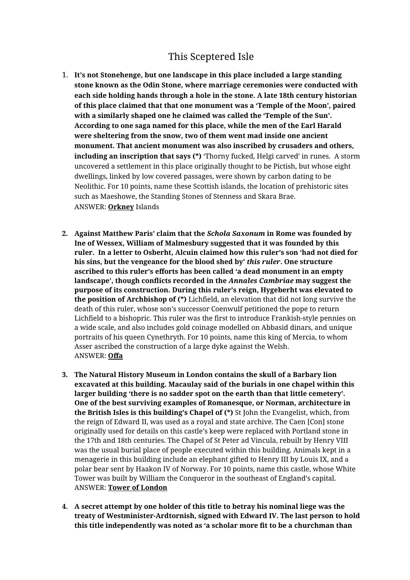## This Sceptered Isle

- 1. **It's not Stonehenge, but one landscape in this place included a large standing stone known as the Odin Stone, where marriage ceremonies were conducted with each side holding hands through a hole in the stone. A late 18th century historian of this place claimed that that one monument was a 'Temple of the Moon', paired with a similarly shaped one he claimed was called the 'Temple of the Sun'. According to one saga named for this place, while the men of the Earl Harald were sheltering from the snow, two of them went mad inside one ancient monument. That ancient monument was also inscribed by crusaders and others, including an inscription that says (\*)** 'Thorny fucked, Helgi carved' in runes. A storm uncovered a settlement in this place originally thought to be Pictish, but whose eight dwellings, linked by low covered passages, were shown by carbon dating to be Neolithic. For 10 points, name these Scottish islands, the location of prehistoric sites such as Maeshowe, the Standing Stones of Stenness and Skara Brae. ANSWER: **Orkney** Islands
- **2. Against Matthew Paris' claim that the** *Schola Saxonum* **in Rome was founded by Ine of Wessex, William of Malmesbury suggested that it was founded by this ruler. In a letter to Osberht, Alcuin claimed how this ruler's son 'had not died for his sins, but the vengeance for the blood shed by'** *this ruler***. One structure ascribed to this ruler's efforts has been called 'a dead monument in an empty landscape', though conflicts recorded in the** *Annales Cambriae* **may suggest the purpose of its construction. During this ruler's reign, Hygeberht was elevated to the position of Archbishop of (\*)** Lichfield, an elevation that did not long survive the death of this ruler, whose son's successor Coenwulf petitioned the pope to return Lichfield to a bishopric. This ruler was the first to introduce Frankish-style pennies on a wide scale, and also includes gold coinage modelled on Abbasid dinars, and unique portraits of his queen Cynethryth. For 10 points, name this king of Mercia, to whom Asser ascribed the construction of a large dyke against the Welsh. ANSWER: **Offa**
- **3. The Natural History Museum in London contains the skull of a Barbary lion excavated at this building. Macaulay said of the burials in one chapel within this larger building 'there is no sadder spot on the earth than that little cemetery'. One of the best surviving examples of Romanesque, or Norman, architecture in the British Isles is this building's Chapel of (\*)** St John the Evangelist, which, from the reign of Edward II, was used as a royal and state archive. The Caen [Con] stone originally used for details on this castle's keep were replaced with Portland stone in the 17th and 18th centuries. The Chapel of St Peter ad Vincula, rebuilt by Henry VIII was the usual burial place of people executed within this building. Animals kept in a menagerie in this building include an elephant gifted to Henry III by Louis IX, and a polar bear sent by Haakon IV of Norway. For 10 points, name this castle, whose White Tower was built by William the Conqueror in the southeast of England's capital. ANSWER: **Tower of London**
- **4. A secret attempt by one holder of this title to betray his nominal liege was the treaty of Westminister-Ardtornish, signed with Edward IV. The last person to hold this title independently was noted as 'a scholar more fit to be a churchman than**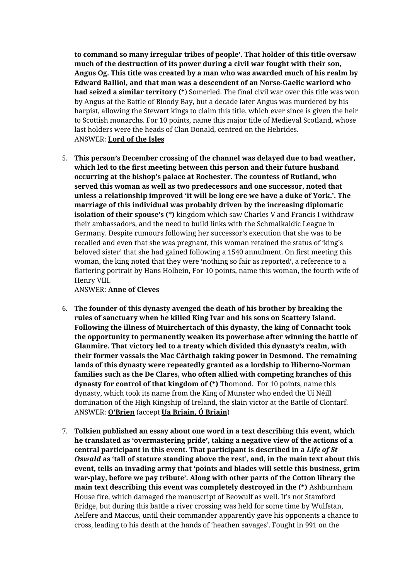**to command so many irregular tribes of people'. That holder of this title oversaw much of the destruction of its power during a civil war fought with their son, Angus Og. This title was created by a man who was awarded much of his realm by Edward Balliol, and that man was a descendent of an Norse-Gaelic warlord who had seized a similar territory (\***) Somerled. The final civil war over this title was won by Angus at the Battle of Bloody Bay, but a decade later Angus was murdered by his harpist, allowing the Stewart kings to claim this title, which ever since is given the heir to Scottish monarchs. For 10 points, name this major title of Medieval Scotland, whose last holders were the heads of Clan Donald, centred on the Hebrides. ANSWER: **Lord of the Isles**

5. **This person's December crossing of the channel was delayed due to bad weather, which led to the first meeting between this person and their future husband occurring at the bishop's palace at Rochester. The countess of Rutland, who served this woman as well as two predecessors and one successor, noted that unless a relationship improved 'it will be long ere we have a duke of York.'. The marriage of this individual was probably driven by the increasing diplomatic isolation of their spouse's (\*)** kingdom which saw Charles V and Francis I withdraw their ambassadors, and the need to build links with the Schmalkaldic League in Germany. Despite rumours following her successor's execution that she was to be recalled and even that she was pregnant, this woman retained the status of 'king's beloved sister' that she had gained following a 1540 annulment. On first meeting this woman, the king noted that they were 'nothing so fair as reported', a reference to a flattering portrait by Hans Holbein, For 10 points, name this woman, the fourth wife of Henry VIII.

ANSWER: **Anne of Cleves**

- 6. **The founder of this dynasty avenged the death of his brother by breaking the rules of sanctuary when he killed King Ivar and his sons on Scattery Island. Following the illness of Muirchertach of this dynasty, the king of Connacht took the opportunity to permanently weaken its powerbase after winning the battle of Glanmire. That victory led to a treaty which divided this dynasty's realm, with their former vassals the Mac Cárthaigh taking power in Desmond. The remaining lands of this dynasty were repeatedly granted as a lordship to Hiberno-Norman families such as the De Clares, who often allied with competing branches of this dynasty for control of that kingdom of (\*)** Thomond. For 10 points, name this dynasty, which took its name from the King of Munster who ended the Uí Néill domination of the High Kingship of Ireland, the slain victor at the Battle of Clontarf. ANSWER: **O'Brien** (accept **Ua Briain, Ó Briain**)
- 7. **Tolkien published an essay about one word in a text describing this event, which he translated as 'overmastering pride', taking a negative view of the actions of a central participant in this event. That participant is described in a** *Life of St Oswald* **as 'tall of stature standing above the rest', and, in the main text about this event, tells an invading army that 'points and blades will settle this business, grim war-play, before we pay tribute'. Along with other parts of the Cotton library the main text describing this event was completely destroyed in the (\*)** Ashburnham House fire, which damaged the manuscript of Beowulf as well. It's not Stamford Bridge, but during this battle a river crossing was held for some time by Wulfstan, Aelfere and Maccus, until their commander apparently gave his opponents a chance to cross, leading to his death at the hands of 'heathen savages'. Fought in 991 on the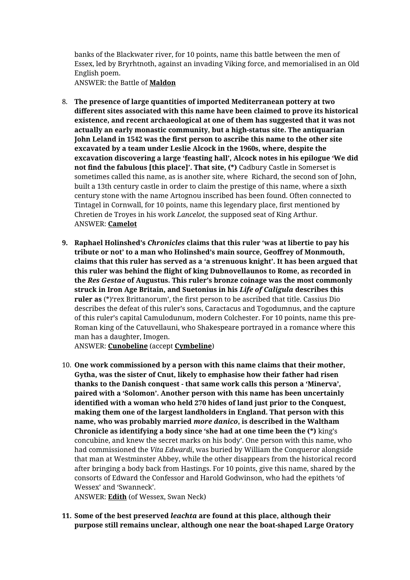banks of the Blackwater river, for 10 points, name this battle between the men of Essex, led by Bryrhtnoth, against an invading Viking force, and memorialised in an Old English poem.

ANSWER: the Battle of **Maldon**

- 8. **The presence of large quantities of imported Mediterranean pottery at two different sites associated with this name have been claimed to prove its historical existence, and recent archaeological at one of them has suggested that it was not actually an early monastic community, but a high-status site. The antiquarian John Leland in 1542 was the first person to ascribe this name to the other site excavated by a team under Leslie Alcock in the 1960s, where, despite the excavation discovering a large 'feasting hall', Alcock notes in his epilogue 'We did not find the fabulous [this place]'. That site, (\*)** Cadbury Castle in Somerset is sometimes called this name, as is another site, where Richard, the second son of John, built a 13th century castle in order to claim the prestige of this name, where a sixth century stone with the name Artognou inscribed has been found. Often connected to Tintagel in Cornwall, for 10 points, name this legendary place, first mentioned by Chretien de Troyes in his work *Lancelot,* the supposed seat of King Arthur. ANSWER: **Camelot**
- **9. Raphael Holinshed's** *Chronicles* **claims that this ruler 'was at libertie to pay his tribute or not' to a man who Holinshed's main source, Geoffrey of Monmouth, claims that this ruler has served as a 'a strenuous knight'. It has been argued that this ruler was behind the flight of king Dubnovellaunos to Rome, as recorded in the** *Res Gestae* **of Augustus. This ruler's bronze coinage was the most commonly struck in Iron Age Britain, and Suetonius in his** *Life of Caligula* **describes this ruler as** (\*)'rex Brittanorum', the first person to be ascribed that title. Cassius Dio describes the defeat of this ruler's sons, Caractacus and Togodumnus, and the capture of this ruler's capital Camulodunum, modern Colchester. For 10 points, name this pre-Roman king of the Catuvellauni, who Shakespeare portrayed in a romance where this man has a daughter, Imogen.

ANSWER: **Cunobeline** (accept **Cymbeline**)

10. **One work commissioned by a person with this name claims that their mother, Gytha, was the sister of Cnut, likely to emphasise how their father had risen thanks to the Danish conquest - that same work calls this person a 'Minerva', paired with a 'Solomon'. Another person with this name has been uncertainly identified with a woman who held 270 hides of land just prior to the Conquest, making them one of the largest landholders in England. That person with this name, who was probably married** *more danico***, is described in the Waltham Chronicle as identifying a body since 'she had at one time been the (\*)** king's concubine, and knew the secret marks on his body'. One person with this name, who had commissioned the *Vita Edwardi*, was buried by William the Conqueror alongside that man at Westminster Abbey, while the other disappears from the historical record after bringing a body back from Hastings. For 10 points, give this name, shared by the consorts of Edward the Confessor and Harold Godwinson, who had the epithets 'of Wessex' and 'Swanneck'.

ANSWER: **Edith** (of Wessex, Swan Neck)

**11. Some of the best preserved** *leachta* **are found at this place, although their purpose still remains unclear, although one near the boat-shaped Large Oratory**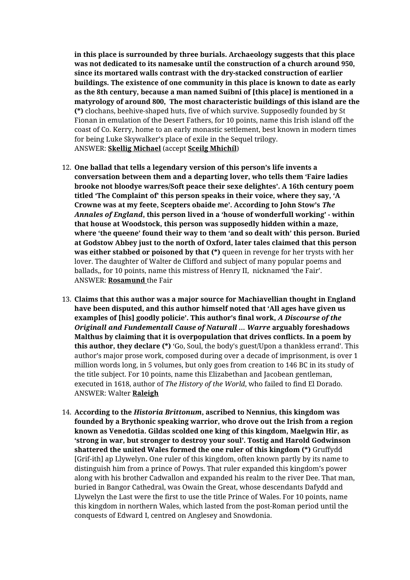**in this place is surrounded by three burials. Archaeology suggests that this place was not dedicated to its namesake until the construction of a church around 950, since its mortared walls contrast with the dry-stacked construction of earlier buildings. The existence of one community in this place is known to date as early as the 8th century, because a man named Suibni of [this place] is mentioned in a matyrology of around 800, The most characteristic buildings of this island are the (\*)** clochans, beehive-shaped huts, five of which survive. Supposedly founded by St Fionan in emulation of the Desert Fathers, for 10 points, name this Irish island off the coast of Co. Kerry, home to an early monastic settlement, best known in modern times for being Luke Skywalker's place of exile in the Sequel trilogy. ANSWER: **Skellig Michael** (accept **Sceilg Mhichíl**)

- 12. **One ballad that tells a legendary version of this person's life invents a conversation between them and a departing lover, who tells them 'Faire ladies brooke not bloodye warres/Soft peace their sexe delightes'. A 16th century poem titled 'The Complaint of' this person speaks in their voice, where they say, 'A Crowne was at my feete, Scepters obaide me'. According to John Stow's** *The Annales of England***, this person lived in a 'house of wonderfull working' - within that house at Woodstock, this person was supposedly hidden within a maze, where 'the queene' found their way to them 'and so dealt with' this person. Buried at Godstow Abbey just to the north of Oxford, later tales claimed that this person was either stabbed or poisoned by that (\*)** queen in revenge for her trysts with her lover. The daughter of Walter de Clifford and subject of many popular poems and ballads,, for 10 points, name this mistress of Henry II, nicknamed 'the Fair'. ANSWER: **Rosamund** the Fair
- 13. **Claims that this author was a major source for Machiavellian thought in England have been disputed, and this author himself noted that 'All ages have given us examples of [his] goodly policie'. This author's final work,** *A Discourse of the Originall and Fundementall Cause of Naturall … Warre* **arguably foreshadows Malthus by claiming that it is overpopulation that drives conflicts. In a poem by this author, they declare (\*)** 'Go, Soul, the body's guest/Upon a thankless errand'. This author's major prose work, composed during over a decade of imprisonment, is over 1 million words long, in 5 volumes, but only goes from creation to 146 BC in its study of the title subject. For 10 points, name this Elizabethan and Jacobean gentleman, executed in 1618, author of *The History of the World*, who failed to find El Dorado. ANSWER: Walter **Raleigh**
- 14. **According to the** *Historia Brittonum***, ascribed to Nennius, this kingdom was founded by a Brythonic speaking warrior, who drove out the Irish from a region known as Venedotia. Gildas scolded one king of this kingdom, Maelgwin Hir, as 'strong in war, but stronger to destroy your soul'. Tostig and Harold Godwinson shattered the united Wales formed the one ruler of this kingdom (\*)** Gruffydd [Grif-ith] ap Llywelyn**.** One ruler of this kingdom, often known partly by its name to distinguish him from a prince of Powys. That ruler expanded this kingdom's power along with his brother Cadwallon and expanded his realm to the river Dee. That man, buried in Bangor Cathedral, was Owain the Great, whose descendants Dafydd and Llywelyn the Last were the first to use the title Prince of Wales. For 10 points, name this kingdom in northern Wales, which lasted from the post-Roman period until the conquests of Edward I, centred on Anglesey and Snowdonia.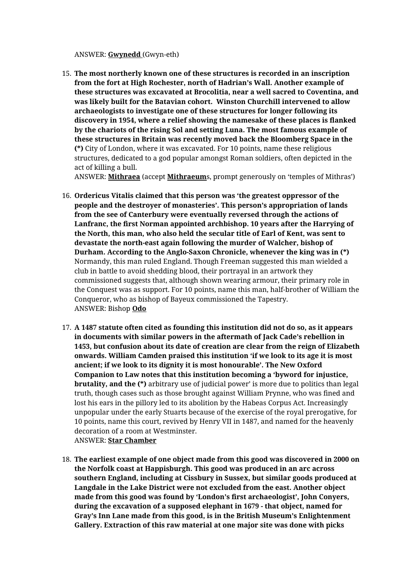## ANSWER: **Gwynedd** (Gwyn-eth)

15. **The most northerly known one of these structures is recorded in an inscription from the fort at High Rochester, north of Hadrian's Wall. Another example of these structures was excavated at Brocolitia, near a well sacred to Coventina, and was likely built for the Batavian cohort. Winston Churchill intervened to allow archaeologists to investigate one of these structures for longer following its discovery in 1954, where a relief showing the namesake of these places is flanked by the chariots of the rising Sol and setting Luna. The most famous example of these structures in Britain was recently moved back the Bloomberg Space in the (\*)** City of London, where it was excavated. For 10 points, name these religious structures, dedicated to a god popular amongst Roman soldiers, often depicted in the act of killing a bull.

ANSWER: **Mithraea** (accept **Mithraeum**s, prompt generously on 'temples of Mithras')

- 16. **Ordericus Vitalis claimed that this person was 'the greatest oppressor of the people and the destroyer of monasteries'. This person's appropriation of lands from the see of Canterbury were eventually reversed through the actions of Lanfranc, the first Norman appointed archbishop. 10 years after the Harrying of the North, this man, who also held the secular title of Earl of Kent, was sent to devastate the north-east again following the murder of Walcher, bishop of Durham. According to the Anglo-Saxon Chronicle, whenever the king was in (\*)** Normandy, this man ruled England. Though Freeman suggested this man wielded a club in battle to avoid shedding blood, their portrayal in an artwork they commissioned suggests that, although shown wearing armour, their primary role in the Conquest was as support. For 10 points, name this man, half-brother of William the Conqueror, who as bishop of Bayeux commissioned the Tapestry. ANSWER: Bishop **Odo**
- 17. **A 1487 statute often cited as founding this institution did not do so, as it appears in documents with similar powers in the aftermath of Jack Cade's rebellion in 1453, but confusion about its date of creation are clear from the reign of Elizabeth onwards. William Camden praised this institution 'if we look to its age it is most ancient; if we look to its dignity it is most honourable'. The New Oxford Companion to Law notes that this institution becoming a 'byword for injustice, brutality, and the (\*)** arbitrary use of judicial power' is more due to politics than legal truth, though cases such as those brought against William Prynne, who was fined and lost his ears in the pillory led to its abolition by the Habeas Corpus Act. Increasingly unpopular under the early Stuarts because of the exercise of the royal prerogative, for 10 points, name this court, revived by Henry VII in 1487, and named for the heavenly decoration of a room at Westminster. ANSWER: **Star Chamber**
- 18. **The earliest example of one object made from this good was discovered in 2000 on the Norfolk coast at Happisburgh. This good was produced in an arc across southern England, including at Cissbury in Sussex, but similar goods produced at Langdale in the Lake District were not excluded from the east. Another object made from this good was found by 'London's first archaeologist', John Conyers, during the excavation of a supposed elephant in 1679 - that object, named for Gray's Inn Lane made from this good, is in the British Museum's Enlightenment Gallery. Extraction of this raw material at one major site was done with picks**